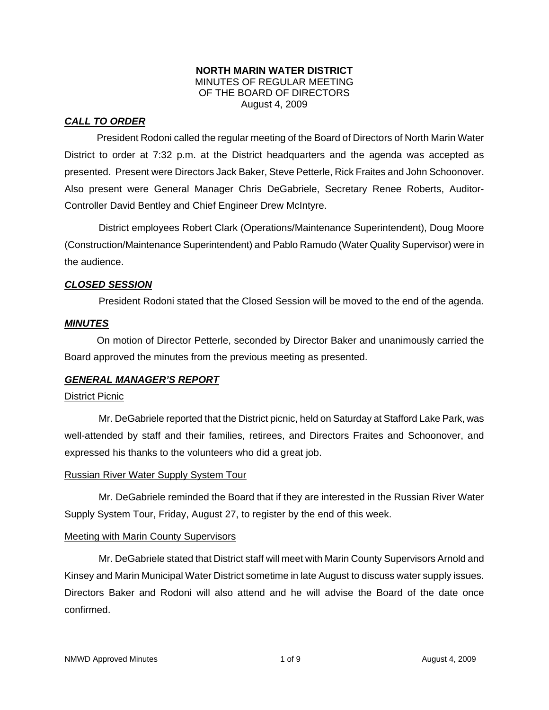## **NORTH MARIN WATER DISTRICT**  MINUTES OF REGULAR MEETING OF THE BOARD OF DIRECTORS August 4, 2009

# *CALL TO ORDER*

President Rodoni called the regular meeting of the Board of Directors of North Marin Water District to order at 7:32 p.m. at the District headquarters and the agenda was accepted as presented. Present were Directors Jack Baker, Steve Petterle, Rick Fraites and John Schoonover. Also present were General Manager Chris DeGabriele, Secretary Renee Roberts, Auditor-Controller David Bentley and Chief Engineer Drew McIntyre.

District employees Robert Clark (Operations/Maintenance Superintendent), Doug Moore (Construction/Maintenance Superintendent) and Pablo Ramudo (Water Quality Supervisor) were in the audience.

# *CLOSED SESSION*

President Rodoni stated that the Closed Session will be moved to the end of the agenda.

## *MINUTES*

 On motion of Director Petterle, seconded by Director Baker and unanimously carried the Board approved the minutes from the previous meeting as presented.

# *GENERAL MANAGER'S REPORT*

## District Picnic

Mr. DeGabriele reported that the District picnic, held on Saturday at Stafford Lake Park, was well-attended by staff and their families, retirees, and Directors Fraites and Schoonover, and expressed his thanks to the volunteers who did a great job.

#### Russian River Water Supply System Tour

Mr. DeGabriele reminded the Board that if they are interested in the Russian River Water Supply System Tour, Friday, August 27, to register by the end of this week.

#### Meeting with Marin County Supervisors

Mr. DeGabriele stated that District staff will meet with Marin County Supervisors Arnold and Kinsey and Marin Municipal Water District sometime in late August to discuss water supply issues. Directors Baker and Rodoni will also attend and he will advise the Board of the date once confirmed.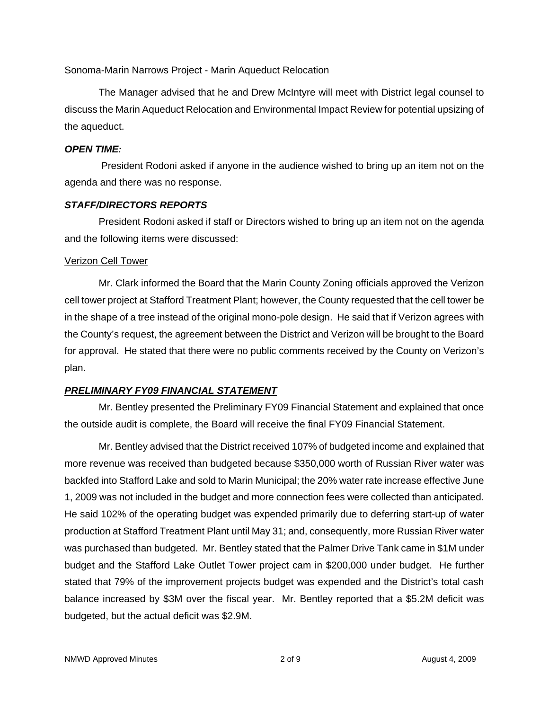# Sonoma-Marin Narrows Project - Marin Aqueduct Relocation

The Manager advised that he and Drew McIntyre will meet with District legal counsel to discuss the Marin Aqueduct Relocation and Environmental Impact Review for potential upsizing of the aqueduct.

## *OPEN TIME:*

President Rodoni asked if anyone in the audience wished to bring up an item not on the agenda and there was no response.

# *STAFF/DIRECTORS REPORTS*

President Rodoni asked if staff or Directors wished to bring up an item not on the agenda and the following items were discussed:

## Verizon Cell Tower

Mr. Clark informed the Board that the Marin County Zoning officials approved the Verizon cell tower project at Stafford Treatment Plant; however, the County requested that the cell tower be in the shape of a tree instead of the original mono-pole design. He said that if Verizon agrees with the County's request, the agreement between the District and Verizon will be brought to the Board for approval. He stated that there were no public comments received by the County on Verizon's plan.

# *PRELIMINARY FY09 FINANCIAL STATEMENT*

Mr. Bentley presented the Preliminary FY09 Financial Statement and explained that once the outside audit is complete, the Board will receive the final FY09 Financial Statement.

Mr. Bentley advised that the District received 107% of budgeted income and explained that more revenue was received than budgeted because \$350,000 worth of Russian River water was backfed into Stafford Lake and sold to Marin Municipal; the 20% water rate increase effective June 1, 2009 was not included in the budget and more connection fees were collected than anticipated. He said 102% of the operating budget was expended primarily due to deferring start-up of water production at Stafford Treatment Plant until May 31; and, consequently, more Russian River water was purchased than budgeted. Mr. Bentley stated that the Palmer Drive Tank came in \$1M under budget and the Stafford Lake Outlet Tower project cam in \$200,000 under budget. He further stated that 79% of the improvement projects budget was expended and the District's total cash balance increased by \$3M over the fiscal year. Mr. Bentley reported that a \$5.2M deficit was budgeted, but the actual deficit was \$2.9M.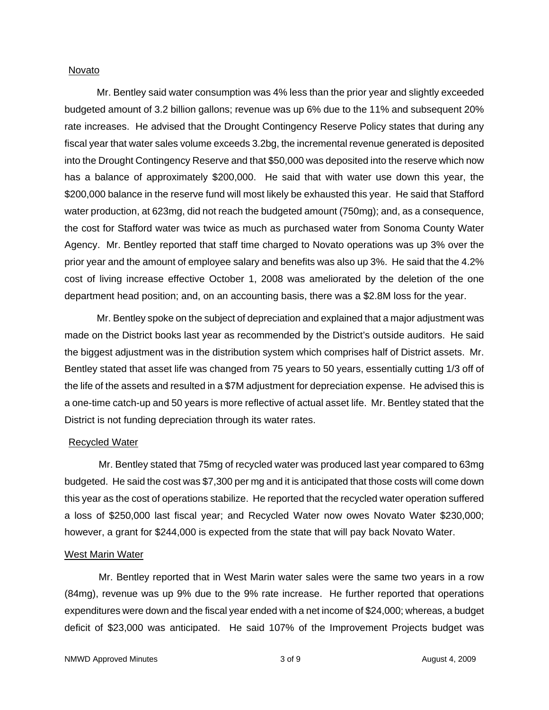#### Novato

 Mr. Bentley said water consumption was 4% less than the prior year and slightly exceeded budgeted amount of 3.2 billion gallons; revenue was up 6% due to the 11% and subsequent 20% rate increases. He advised that the Drought Contingency Reserve Policy states that during any fiscal year that water sales volume exceeds 3.2bg, the incremental revenue generated is deposited into the Drought Contingency Reserve and that \$50,000 was deposited into the reserve which now has a balance of approximately \$200,000. He said that with water use down this year, the \$200,000 balance in the reserve fund will most likely be exhausted this year. He said that Stafford water production, at 623mg, did not reach the budgeted amount (750mg); and, as a consequence, the cost for Stafford water was twice as much as purchased water from Sonoma County Water Agency. Mr. Bentley reported that staff time charged to Novato operations was up 3% over the prior year and the amount of employee salary and benefits was also up 3%. He said that the 4.2% cost of living increase effective October 1, 2008 was ameliorated by the deletion of the one department head position; and, on an accounting basis, there was a \$2.8M loss for the year.

 Mr. Bentley spoke on the subject of depreciation and explained that a major adjustment was made on the District books last year as recommended by the District's outside auditors. He said the biggest adjustment was in the distribution system which comprises half of District assets. Mr. Bentley stated that asset life was changed from 75 years to 50 years, essentially cutting 1/3 off of the life of the assets and resulted in a \$7M adjustment for depreciation expense. He advised this is a one-time catch-up and 50 years is more reflective of actual asset life. Mr. Bentley stated that the District is not funding depreciation through its water rates.

#### Recycled Water

Mr. Bentley stated that 75mg of recycled water was produced last year compared to 63mg budgeted. He said the cost was \$7,300 per mg and it is anticipated that those costs will come down this year as the cost of operations stabilize. He reported that the recycled water operation suffered a loss of \$250,000 last fiscal year; and Recycled Water now owes Novato Water \$230,000; however, a grant for \$244,000 is expected from the state that will pay back Novato Water.

#### West Marin Water

Mr. Bentley reported that in West Marin water sales were the same two years in a row (84mg), revenue was up 9% due to the 9% rate increase. He further reported that operations expenditures were down and the fiscal year ended with a net income of \$24,000; whereas, a budget deficit of \$23,000 was anticipated. He said 107% of the Improvement Projects budget was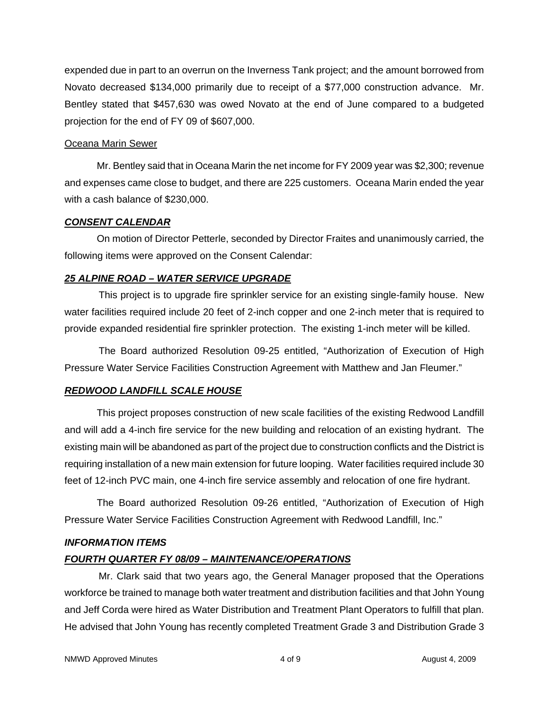expended due in part to an overrun on the Inverness Tank project; and the amount borrowed from Novato decreased \$134,000 primarily due to receipt of a \$77,000 construction advance. Mr. Bentley stated that \$457,630 was owed Novato at the end of June compared to a budgeted projection for the end of FY 09 of \$607,000.

# Oceana Marin Sewer

 Mr. Bentley said that in Oceana Marin the net income for FY 2009 year was \$2,300; revenue and expenses came close to budget, and there are 225 customers. Oceana Marin ended the year with a cash balance of \$230,000.

## *CONSENT CALENDAR*

 On motion of Director Petterle, seconded by Director Fraites and unanimously carried, the following items were approved on the Consent Calendar:

# *25 ALPINE ROAD – WATER SERVICE UPGRADE*

This project is to upgrade fire sprinkler service for an existing single-family house. New water facilities required include 20 feet of 2-inch copper and one 2-inch meter that is required to provide expanded residential fire sprinkler protection. The existing 1-inch meter will be killed.

The Board authorized Resolution 09-25 entitled, "Authorization of Execution of High Pressure Water Service Facilities Construction Agreement with Matthew and Jan Fleumer."

# *REDWOOD LANDFILL SCALE HOUSE*

This project proposes construction of new scale facilities of the existing Redwood Landfill and will add a 4-inch fire service for the new building and relocation of an existing hydrant. The existing main will be abandoned as part of the project due to construction conflicts and the District is requiring installation of a new main extension for future looping. Water facilities required include 30 feet of 12-inch PVC main, one 4-inch fire service assembly and relocation of one fire hydrant.

 The Board authorized Resolution 09-26 entitled, "Authorization of Execution of High Pressure Water Service Facilities Construction Agreement with Redwood Landfill, Inc."

# *INFORMATION ITEMS*

# *FOURTH QUARTER FY 08/09 – MAINTENANCE/OPERATIONS*

Mr. Clark said that two years ago, the General Manager proposed that the Operations workforce be trained to manage both water treatment and distribution facilities and that John Young and Jeff Corda were hired as Water Distribution and Treatment Plant Operators to fulfill that plan. He advised that John Young has recently completed Treatment Grade 3 and Distribution Grade 3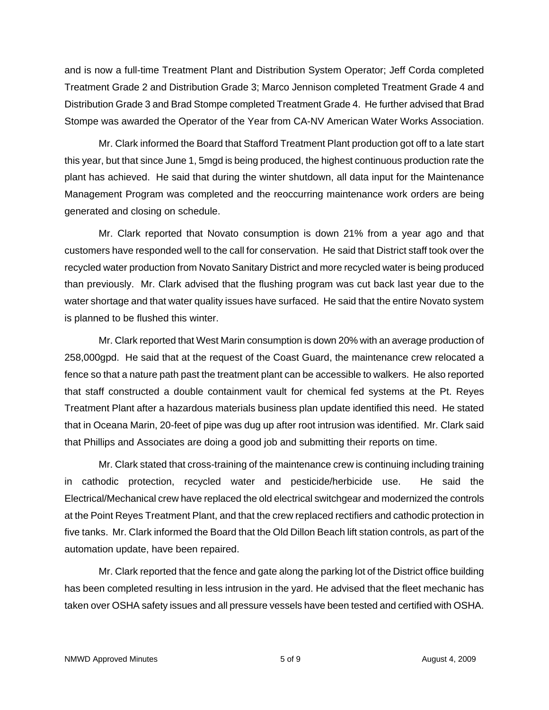and is now a full-time Treatment Plant and Distribution System Operator; Jeff Corda completed Treatment Grade 2 and Distribution Grade 3; Marco Jennison completed Treatment Grade 4 and Distribution Grade 3 and Brad Stompe completed Treatment Grade 4. He further advised that Brad Stompe was awarded the Operator of the Year from CA-NV American Water Works Association.

Mr. Clark informed the Board that Stafford Treatment Plant production got off to a late start this year, but that since June 1, 5mgd is being produced, the highest continuous production rate the plant has achieved. He said that during the winter shutdown, all data input for the Maintenance Management Program was completed and the reoccurring maintenance work orders are being generated and closing on schedule.

Mr. Clark reported that Novato consumption is down 21% from a year ago and that customers have responded well to the call for conservation. He said that District staff took over the recycled water production from Novato Sanitary District and more recycled water is being produced than previously. Mr. Clark advised that the flushing program was cut back last year due to the water shortage and that water quality issues have surfaced. He said that the entire Novato system is planned to be flushed this winter.

Mr. Clark reported that West Marin consumption is down 20% with an average production of 258,000gpd. He said that at the request of the Coast Guard, the maintenance crew relocated a fence so that a nature path past the treatment plant can be accessible to walkers. He also reported that staff constructed a double containment vault for chemical fed systems at the Pt. Reyes Treatment Plant after a hazardous materials business plan update identified this need. He stated that in Oceana Marin, 20-feet of pipe was dug up after root intrusion was identified. Mr. Clark said that Phillips and Associates are doing a good job and submitting their reports on time.

Mr. Clark stated that cross-training of the maintenance crew is continuing including training in cathodic protection, recycled water and pesticide/herbicide use. He said the Electrical/Mechanical crew have replaced the old electrical switchgear and modernized the controls at the Point Reyes Treatment Plant, and that the crew replaced rectifiers and cathodic protection in five tanks. Mr. Clark informed the Board that the Old Dillon Beach lift station controls, as part of the automation update, have been repaired.

Mr. Clark reported that the fence and gate along the parking lot of the District office building has been completed resulting in less intrusion in the yard. He advised that the fleet mechanic has taken over OSHA safety issues and all pressure vessels have been tested and certified with OSHA.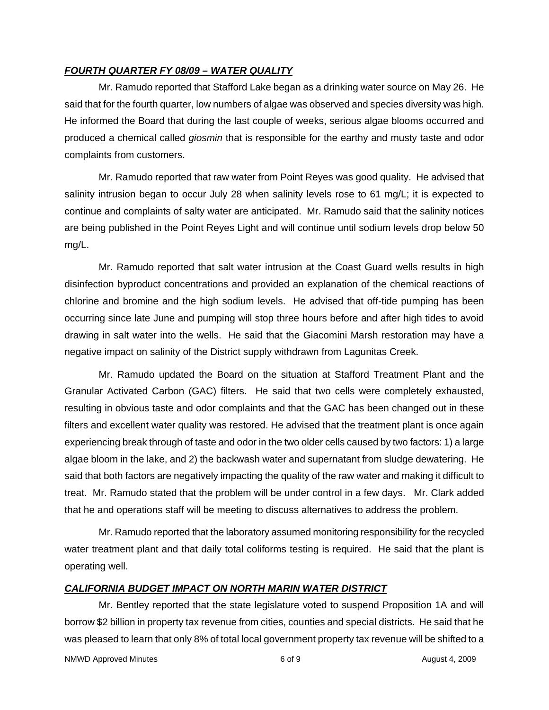# *FOURTH QUARTER FY 08/09 – WATER QUALITY*

Mr. Ramudo reported that Stafford Lake began as a drinking water source on May 26. He said that for the fourth quarter, low numbers of algae was observed and species diversity was high. He informed the Board that during the last couple of weeks, serious algae blooms occurred and produced a chemical called *giosmin* that is responsible for the earthy and musty taste and odor complaints from customers.

Mr. Ramudo reported that raw water from Point Reyes was good quality. He advised that salinity intrusion began to occur July 28 when salinity levels rose to 61 mg/L; it is expected to continue and complaints of salty water are anticipated. Mr. Ramudo said that the salinity notices are being published in the Point Reyes Light and will continue until sodium levels drop below 50 mg/L.

Mr. Ramudo reported that salt water intrusion at the Coast Guard wells results in high disinfection byproduct concentrations and provided an explanation of the chemical reactions of chlorine and bromine and the high sodium levels. He advised that off-tide pumping has been occurring since late June and pumping will stop three hours before and after high tides to avoid drawing in salt water into the wells. He said that the Giacomini Marsh restoration may have a negative impact on salinity of the District supply withdrawn from Lagunitas Creek.

Mr. Ramudo updated the Board on the situation at Stafford Treatment Plant and the Granular Activated Carbon (GAC) filters. He said that two cells were completely exhausted, resulting in obvious taste and odor complaints and that the GAC has been changed out in these filters and excellent water quality was restored. He advised that the treatment plant is once again experiencing break through of taste and odor in the two older cells caused by two factors: 1) a large algae bloom in the lake, and 2) the backwash water and supernatant from sludge dewatering. He said that both factors are negatively impacting the quality of the raw water and making it difficult to treat. Mr. Ramudo stated that the problem will be under control in a few days. Mr. Clark added that he and operations staff will be meeting to discuss alternatives to address the problem.

Mr. Ramudo reported that the laboratory assumed monitoring responsibility for the recycled water treatment plant and that daily total coliforms testing is required. He said that the plant is operating well.

# *CALIFORNIA BUDGET IMPACT ON NORTH MARIN WATER DISTRICT*

Mr. Bentley reported that the state legislature voted to suspend Proposition 1A and will borrow \$2 billion in property tax revenue from cities, counties and special districts. He said that he was pleased to learn that only 8% of total local government property tax revenue will be shifted to a

NMWD Approved Minutes and the control of  $\sim$  6 of 9 August 4, 2009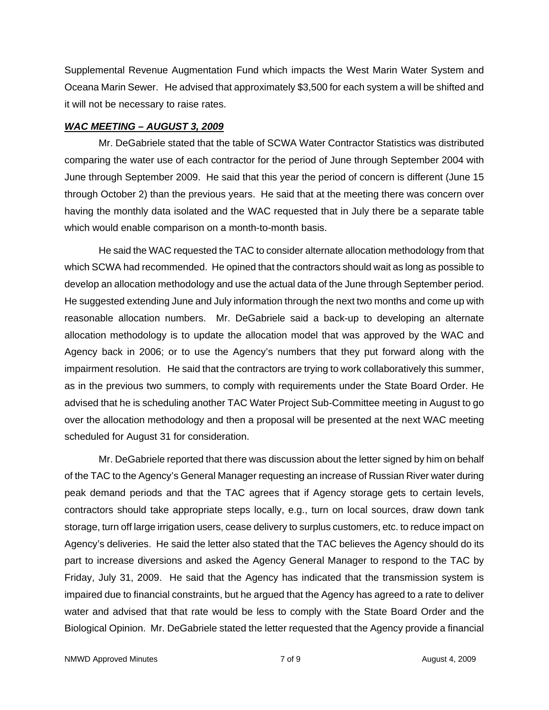Supplemental Revenue Augmentation Fund which impacts the West Marin Water System and Oceana Marin Sewer. He advised that approximately \$3,500 for each system a will be shifted and it will not be necessary to raise rates.

#### *WAC MEETING – AUGUST 3, 2009*

Mr. DeGabriele stated that the table of SCWA Water Contractor Statistics was distributed comparing the water use of each contractor for the period of June through September 2004 with June through September 2009. He said that this year the period of concern is different (June 15 through October 2) than the previous years. He said that at the meeting there was concern over having the monthly data isolated and the WAC requested that in July there be a separate table which would enable comparison on a month-to-month basis.

He said the WAC requested the TAC to consider alternate allocation methodology from that which SCWA had recommended. He opined that the contractors should wait as long as possible to develop an allocation methodology and use the actual data of the June through September period. He suggested extending June and July information through the next two months and come up with reasonable allocation numbers. Mr. DeGabriele said a back-up to developing an alternate allocation methodology is to update the allocation model that was approved by the WAC and Agency back in 2006; or to use the Agency's numbers that they put forward along with the impairment resolution. He said that the contractors are trying to work collaboratively this summer, as in the previous two summers, to comply with requirements under the State Board Order. He advised that he is scheduling another TAC Water Project Sub-Committee meeting in August to go over the allocation methodology and then a proposal will be presented at the next WAC meeting scheduled for August 31 for consideration.

Mr. DeGabriele reported that there was discussion about the letter signed by him on behalf of the TAC to the Agency's General Manager requesting an increase of Russian River water during peak demand periods and that the TAC agrees that if Agency storage gets to certain levels, contractors should take appropriate steps locally, e.g., turn on local sources, draw down tank storage, turn off large irrigation users, cease delivery to surplus customers, etc. to reduce impact on Agency's deliveries. He said the letter also stated that the TAC believes the Agency should do its part to increase diversions and asked the Agency General Manager to respond to the TAC by Friday, July 31, 2009. He said that the Agency has indicated that the transmission system is impaired due to financial constraints, but he argued that the Agency has agreed to a rate to deliver water and advised that that rate would be less to comply with the State Board Order and the Biological Opinion. Mr. DeGabriele stated the letter requested that the Agency provide a financial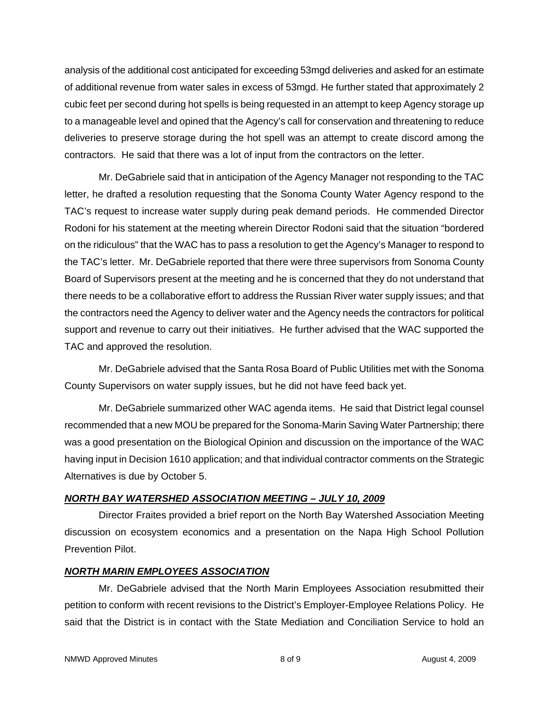analysis of the additional cost anticipated for exceeding 53mgd deliveries and asked for an estimate of additional revenue from water sales in excess of 53mgd. He further stated that approximately 2 cubic feet per second during hot spells is being requested in an attempt to keep Agency storage up to a manageable level and opined that the Agency's call for conservation and threatening to reduce deliveries to preserve storage during the hot spell was an attempt to create discord among the contractors. He said that there was a lot of input from the contractors on the letter.

Mr. DeGabriele said that in anticipation of the Agency Manager not responding to the TAC letter, he drafted a resolution requesting that the Sonoma County Water Agency respond to the TAC's request to increase water supply during peak demand periods. He commended Director Rodoni for his statement at the meeting wherein Director Rodoni said that the situation "bordered on the ridiculous" that the WAC has to pass a resolution to get the Agency's Manager to respond to the TAC's letter. Mr. DeGabriele reported that there were three supervisors from Sonoma County Board of Supervisors present at the meeting and he is concerned that they do not understand that there needs to be a collaborative effort to address the Russian River water supply issues; and that the contractors need the Agency to deliver water and the Agency needs the contractors for political support and revenue to carry out their initiatives. He further advised that the WAC supported the TAC and approved the resolution.

Mr. DeGabriele advised that the Santa Rosa Board of Public Utilities met with the Sonoma County Supervisors on water supply issues, but he did not have feed back yet.

Mr. DeGabriele summarized other WAC agenda items. He said that District legal counsel recommended that a new MOU be prepared for the Sonoma-Marin Saving Water Partnership; there was a good presentation on the Biological Opinion and discussion on the importance of the WAC having input in Decision 1610 application; and that individual contractor comments on the Strategic Alternatives is due by October 5.

# *NORTH BAY WATERSHED ASSOCIATION MEETING – JULY 10, 2009*

Director Fraites provided a brief report on the North Bay Watershed Association Meeting discussion on ecosystem economics and a presentation on the Napa High School Pollution Prevention Pilot.

# *NORTH MARIN EMPLOYEES ASSOCIATION*

Mr. DeGabriele advised that the North Marin Employees Association resubmitted their petition to conform with recent revisions to the District's Employer-Employee Relations Policy. He said that the District is in contact with the State Mediation and Conciliation Service to hold an